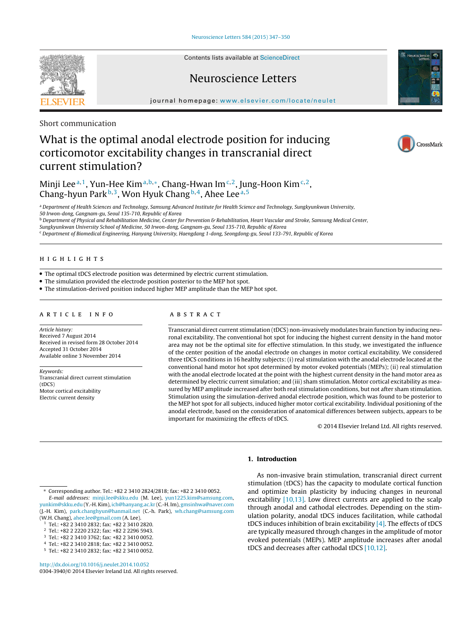Contents lists available at [ScienceDirect](http://www.sciencedirect.com/science/journal/03043940)

## Neuroscience Letters

iournal homepage: [www.elsevier.com/locate/neulet](http://www.elsevier.com/locate/neulet)

Short communication

# What is the optimal anodal electrode position for inducing corticomotor excitability changes in transcranial direct current stimulation?

Minji Lee<sup>a,1</sup>, Yun-Hee Kim<sup>a,b,\*</sup>, Chang-Hwan Im<sup>c,2</sup>, Jung-Hoon Kim<sup>c,2</sup>, Chang-hyun Park  $b,3$ , Won Hyuk Chang  $b,4$ , Ahee Lee  $a,5$ 

a Department of Health Sciences and Technology, Samsung Advanced Institute for Health Science and Technology, Sungkyunkwan University, 50 Irwon-dong, Gangnam-gu, Seoul 135-710, Republic of Korea

**b** Department of Physical and Rehabilitation Medicine, Center for Prevention & Rehabilitation, Heart Vascular and Stroke, Samsung Medical Center,

Sungkyunkwan University School of Medicine, 50 Irwon-dong, Gangnam-gu, Seoul 135-710, Republic of Korea

<sup>c</sup> Department of Biomedical Engineering, Hanyang University, Haengdang 1-dong, Seongdong-gu, Seoul 133-791, Republic of Korea

## h i g h l i g h t s

- The optimal tDCS electrode position was determined by electric current stimulation.
- The simulation provided the electrode position posterior to the MEP hot spot.
- The stimulation-derived position induced higher MEP amplitude than the MEP hot spot.

#### a r t i c l e i n f o

Article history: Received 7 August 2014 Received in revised form 28 October 2014 Accepted 31 October 2014 Available online 3 November 2014

Keywords: Transcranial direct current stimulation (tDCS) Motor cortical excitability Electric current density

### A B S T R A C T

Transcranial direct current stimulation (tDCS) non-invasively modulates brain function by inducing neuronal excitability. The conventional hot spot for inducing the highest current density in the hand motor area may not be the optimal site for effective stimulation. In this study, we investigated the influence of the center position of the anodal electrode on changes in motor cortical excitability. We considered three tDCS conditions in 16 healthy subjects: (i) real stimulation with the anodal electrode located at the conventional hand motor hot spot determined by motor evoked potentials (MEPs); (ii) real stimulation with the anodal electrode located at the point with the highest current density in the hand motor area as determined by electric current simulation; and (iii) sham stimulation. Motor cortical excitability as measured by MEP amplitude increased after both real stimulation conditions, but not after sham stimulation. Stimulation using the simulation-derived anodal electrode position, which was found to be posterior to the MEP hot spot for all subjects, induced higher motor cortical excitability. Individual positioning of the anodal electrode, based on the consideration of anatomical differences between subjects, appears to be important for maximizing the effects of tDCS.

© 2014 Elsevier Ireland Ltd. All rights reserved.

## **1. Introduction**

As non-invasive brain stimulation, transcranial direct current stimulation (tDCS) has the capacity to modulate cortical function and optimize brain plasticity by inducing changes in neuronal excitability [\[10,13\].](#page-3-0) Low direct currents are applied to the scalp through anodal and cathodal electrodes. Depending on the stimulation polarity, anodal tDCS induces facilitation, while cathodal tDCS induces inhibition of brain excitability  $[4]$ . The effects of tDCS are typically measured through changes in the amplitude of motor evoked potentials (MEPs). MEP amplitude increases after anodal tDCS and decreases after cathodal tDCS [\[10,12\].](#page-3-0)

∗ Corresponding author. Tel.: +82 2 3410 2824/2818; fax: +82 2 3410 0052. E-mail addresses: [minji.lee@skku.edu](mailto:minji.lee@skku.edu) (M. Lee), [yun1225.kim@samsung.com,](mailto:yun1225.kim@samsung.com) [yunkim@skku.edu](mailto:yunkim@skku.edu) (Y.-H. Kim), [ich@hanyang.ac.kr](mailto:ich@hanyang.ac.kr) (C.-H. Im), [gmsinhwa@naver.com](mailto:gmsinhwa@naver.com) (J.-H. Kim), [park.changhyun@hanmail.net](mailto:park.changhyun@hanmail.net) (C.-h. Park), [wh.chang@samsung.com](mailto:wh.chang@samsung.com) (W.H. Chang), [ahee.lee@gmail.com](mailto:ahee.lee@gmail.com) (A. Lee).

- <sup>2</sup> Tel.: +82 2 2220 2322; fax: +82 2 2296 5943.
- <sup>3</sup> Tel.: +82 2 3410 3762; fax: +82 2 3410 0052.
- <sup>4</sup> Tel.: +82 2 3410 2818; fax: +82 2 3410 0052.
- <sup>5</sup> Tel.: +82 2 3410 2832; fax: +82 2 3410 0052.







<sup>1</sup> Tel.: +82 2 3410 2832; fax: +82 2 3410 2820.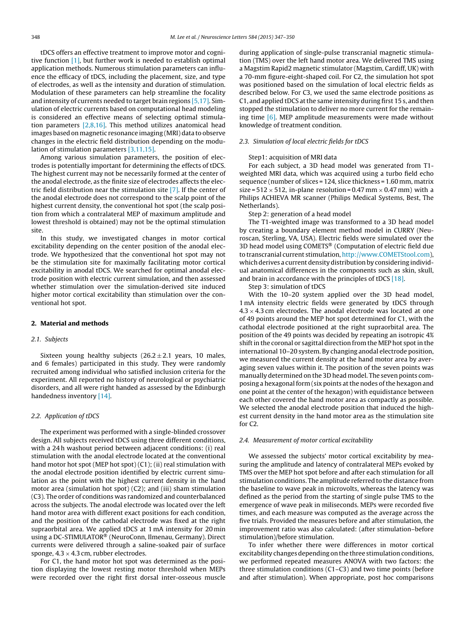tDCS offers an effective treatment to improve motor and cognitive function [\[1\],](#page-3-0) but further work is needed to establish optimal application methods. Numerous stimulation parameters can influence the efficacy of tDCS, including the placement, size, and type of electrodes, as well as the intensity and duration of stimulation. Modulation of these parameters can help streamline the focality and intensity of currents needed to target brain regions [\[5,17\].](#page-3-0) Simulation of electric currents based on computational head modeling is considered an effective means of selecting optimal stimulation parameters [\[2,8,16\].](#page-3-0) This method utilizes anatomical head images based on magnetic resonance imaging (MRI) data to observe changes in the electric field distribution depending on the modulation of stimulation parameters [\[3,11,15\].](#page-3-0)

Among various simulation parameters, the position of electrodes is potentially important for determining the effects of tDCS. The highest current may not be necessarily formed at the center of the anodal electrode, as the finite size of electrodes affects the electric field distribution near the stimulation site [\[7\].](#page-3-0) If the center of the anodal electrode does not correspond to the scalp point of the highest current density, the conventional hot spot (the scalp position from which a contralateral MEP of maximum amplitude and lowest threshold is obtained) may not be the optimal stimulation site.

In this study, we investigated changes in motor cortical excitability depending on the center position of the anodal electrode. We hypothesized that the conventional hot spot may not be the stimulation site for maximally facilitating motor cortical excitability in anodal tDCS. We searched for optimal anodal electrode position with electric current simulation, and then assessed whether stimulation over the simulation-derived site induced higher motor cortical excitability than stimulation over the conventional hot spot.

#### **2. Material and methods**

#### 2.1. Subjects

Sixteen young healthy subjects  $(26.2 \pm 2.1$  years, 10 males, and 6 females) participated in this study. They were randomly recruited among individual who satisfied inclusion criteria for the experiment. All reported no history of neurological or psychiatric disorders, and all were right handed as assessed by the Edinburgh handedness inventory [\[14\].](#page-3-0)

#### 2.2. Application of tDCS

The experiment was performed with a single-blinded crossover design. All subjects received tDCS using three different conditions, with a 24 h washout period between adjacent conditions: (i) real stimulation with the anodal electrode located at the conventional hand motor hot spot (MEP hot spot) (C1); (ii) real stimulation with the anodal electrode position identified by electric current simulation as the point with the highest current density in the hand motor area (simulation hot spot) (C2); and (iii) sham stimulation (C3). The order of conditions was randomized and counterbalanced across the subjects. The anodal electrode was located over the left hand motor area with different exact positions for each condition, and the position of the cathodal electrode was fixed at the right supraorbital area. We applied tDCS at 1 mA intensity for 20 min using a DC-STIMULATOR® (NeuroConn, Ilmenau, Germany). Direct currents were delivered through a saline-soaked pair of surface sponge,  $4.3 \times 4.3$  cm, rubber electrodes.

For C1, the hand motor hot spot was determined as the position displaying the lowest resting motor threshold when MEPs were recorded over the right first dorsal inter-osseous muscle during application of single-pulse transcranial magnetic stimulation (TMS) over the left hand motor area. We delivered TMS using a Magstim Rapid2 magnetic stimulator (Magstim, Cardiff, UK) with a 70-mm figure-eight-shaped coil. For C2, the simulation hot spot was positioned based on the simulation of local electric fields as described below. For C3, we used the same electrode positions as C1, and applied tDCS atthe same intensity during first 15 s, and then stopped the stimulation to deliver no more current for the remaining time [\[6\].](#page-3-0) MEP amplitude measurements were made without knowledge of treatment condition.

#### 2.3. Simulation of local electric fields for tDCS

#### Step1: acquisition of MRI data

For each subject, a 3D head model was generated from T1 weighted MRI data, which was acquired using a turbo field echo sequence (number of slices = 124, slice thickness = 1.60 mm, matrix size =  $512 \times 512$ , in-plane resolution = 0.47 mm  $\times$  0.47 mm) with a Philips ACHIEVA MR scanner (Philips Medical Systems, Best, The Netherlands).

#### Step 2: generation of a head model

The T1-weighted image was transformed to a 3D head model by creating a boundary element method model in CURRY (Neuroscan, Sterling, VA, USA). Electric fields were simulated over the 3D head model using COMETS® (Computation of electric field due to transcranial current stimulation, [http://www.COMETStool.com\)](http://www.COMETStool.com), which derives a current density distribution by considering individual anatomical differences in the components such as skin, skull, and brain in accordance with the principles of tDCS [\[18\].](#page-3-0)

Step 3: simulation of tDCS

With the 10–20 system applied over the 3D head model, 1 mA intensity electric fields were generated by tDCS through  $4.3 \times 4.3$  cm electrodes. The anodal electrode was located at one of 49 points around the MEP hot spot determined for C1, with the cathodal electrode positioned at the right supraorbital area. The position of the 49 points was decided by repeating an isotropic 4% shift in the coronal or sagittal direction from the MEP hot spot in the international 10–20 system. By changing anodal electrode position, we measured the current density at the hand motor area by averaging seven values within it. The position of the seven points was manually determined on the 3D head model. The seven points composing a hexagonal form (six points at the nodes of the hexagon and one point at the center of the hexagon) with equidistance between each other covered the hand motor area as compactly as possible. We selected the anodal electrode position that induced the highest current density in the hand motor area as the stimulation site for  $C2$ 

#### 2.4. Measurement of motor cortical excitability

We assessed the subjects' motor cortical excitability by measuring the amplitude and latency of contralateral MEPs evoked by TMS over the MEP hot spot before and after each stimulation for all stimulation conditions. The amplitude referred to the distance from the baseline to wave peak in microvolts, whereas the latency was defined as the period from the starting of single pulse TMS to the emergence of wave peak in miliseconds. MEPs were recorded five times, and each measure was computed as the average across the five trials. Provided the measures before and after stimulation, the improvement ratio was also calculated: (after stimulation–before stimulation)/before stimulation.

To infer whether there were differences in motor cortical excitability changes depending on the three stimulation conditions, we performed repeated measures ANOVA with two factors: the three stimulation conditions (C1–C3) and two time points (before and after stimulation). When appropriate, post hoc comparisons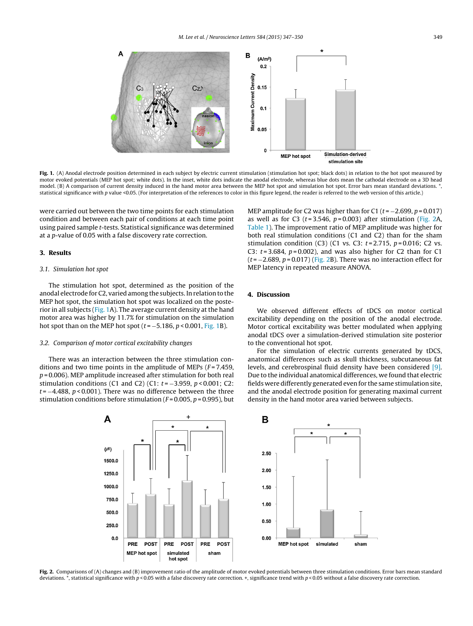

**Fig. 1.** (A) Anodal electrode position determined in each subject by electric current stimulation (stimulation hot spot; black dots) in relation to the hot spot measured by motor evoked potentials (MEP hot spot; white dots). In the inset, white dots indicate the anodal electrode, whereas blue dots mean the cathodal electrode on a 3D head model. (B) A comparison of current density induced in the hand motor area between the MEP hot spot and simulation hot spot. Error bars mean standard deviations. \*, statistical significance with p value <0.05. (For interpretation of the references to color in this figure legend, the reader is referred to the web version of this article.)

were carried out between the two time points for each stimulation condition and between each pair of conditions at each time point using paired sample t-tests. Statistical significance was determined at a p-value of 0.05 with a false discovery rate correction.

#### **3. Results**

#### 3.1. Simulation hot spot

The stimulation hot spot, determined as the position of the anodal electrode for C2, varied among the subjects. In relation to the MEP hot spot, the simulation hot spot was localized on the posterior in all subjects (Fig. 1A). The average current density at the hand motor area was higher by 11.7% for stimulation on the simulation hot spot than on the MEP hot spot ( $t = -5.186$ ,  $p < 0.001$ , Fig. 1B).

#### 3.2. Comparison of motor cortical excitability changes

There was an interaction between the three stimulation conditions and two time points in the amplitude of MEPs  $(F = 7.459,$  $p = 0.006$ ). MEP amplitude increased after stimulation for both real stimulation conditions (C1 and C2) (C1:  $t = -3.959$ ,  $p < 0.001$ ; C2:  $t = -4.488$ ,  $p < 0.001$ ). There was no difference between the three stimulation conditions before stimulation ( $F = 0.005$ ,  $p = 0.995$ ), but MEP amplitude for C2 was higher than for C1 ( $t = -2.699$ ,  $p = 0.017$ ) as well as for C3 ( $t = 3.546$ ,  $p = 0.003$ ) after stimulation (Fig. 2A, [Table](#page-3-0) 1). The improvement ratio of MEP amplitude was higher for both real stimulation conditions (C1 and C2) than for the sham stimulation condition (C3) (C1 vs. C3:  $t = 2.715$ ,  $p = 0.016$ ; C2 vs. C3:  $t = 3.684$ ,  $p = 0.002$ ), and was also higher for C2 than for C1  $(t = -2.689, p = 0.017)$  (Fig. 2B). There was no interaction effect for MEP latency in repeated measure ANOVA.

#### **4. Discussion**

We observed different effects of tDCS on motor cortical excitability depending on the position of the anodal electrode. Motor cortical excitability was better modulated when applying anodal tDCS over a simulation-derived stimulation site posterior to the conventional hot spot.

For the simulation of electric currents generated by tDCS, anatomical differences such as skull thickness, subcutaneous fat levels, and cerebrospinal fluid density have been considered [\[9\].](#page-3-0) Due to the individual anatomical differences, we found that electric fields were differently generated even for the same stimulation site, and the anodal electrode position for generating maximal current density in the hand motor area varied between subjects.



**Fig. 2.** Comparisons of (A) changes and (B) improvement ratio of the amplitude of motor evoked potentials between three stimulation conditions. Error bars mean standard deviations. \*, statistical significance with  $p < 0.05$  with a false discovery rate correction. +, significance trend with  $p < 0.05$  without a false discovery rate correction.